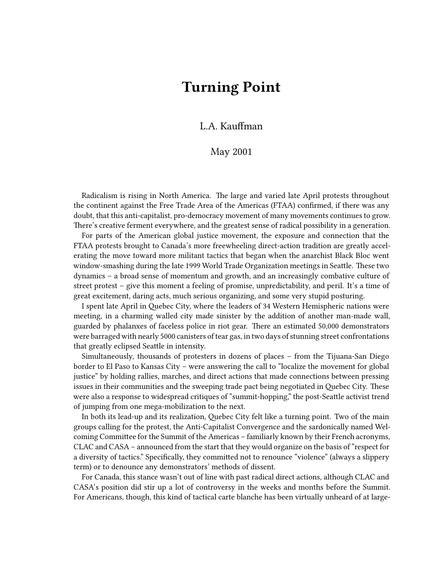## **Turning Point**

## L.A. Kauffman

## May 2001

Radicalism is rising in North America. The large and varied late April protests throughout the continent against the Free Trade Area of the Americas (FTAA) confirmed, if there was any doubt, that this anti-capitalist, pro-democracy movement of many movements continues to grow. There's creative ferment everywhere, and the greatest sense of radical possibility in a generation.

For parts of the American global justice movement, the exposure and connection that the FTAA protests brought to Canada's more freewheeling direct-action tradition are greatly accelerating the move toward more militant tactics that began when the anarchist Black Bloc went window-smashing during the late 1999 World Trade Organization meetings in Seattle. These two dynamics – a broad sense of momentum and growth, and an increasingly combative culture of street protest – give this moment a feeling of promise, unpredictability, and peril. It's a time of great excitement, daring acts, much serious organizing, and some very stupid posturing.

I spent late April in Quebec City, where the leaders of 34 Western Hemispheric nations were meeting, in a charming walled city made sinister by the addition of another man-made wall, guarded by phalanxes of faceless police in riot gear. There an estimated 50,000 demonstrators were barraged with nearly 5000 canisters of tear gas, in two days of stunning street confrontations that greatly eclipsed Seattle in intensity.

Simultaneously, thousands of protesters in dozens of places – from the Tijuana-San Diego border to El Paso to Kansas City – were answering the call to "localize the movement for global justice" by holding rallies, marches, and direct actions that made connections between pressing issues in their communities and the sweeping trade pact being negotiated in Quebec City. These were also a response to widespread critiques of "summit-hopping," the post-Seattle activist trend of jumping from one mega-mobilization to the next.

In both its lead-up and its realization, Quebec City felt like a turning point. Two of the main groups calling for the protest, the Anti-Capitalist Convergence and the sardonically named Welcoming Committee for the Summit of the Americas – familiarly known by their French acronyms, CLAC and CASA – announced from the start that they would organize on the basis of "respect for a diversity of tactics." Specifically, they committed not to renounce "violence" (always a slippery term) or to denounce any demonstrators' methods of dissent.

For Canada, this stance wasn't out of line with past radical direct actions, although CLAC and CASA's position did stir up a lot of controversy in the weeks and months before the Summit. For Americans, though, this kind of tactical carte blanche has been virtually unheard of at large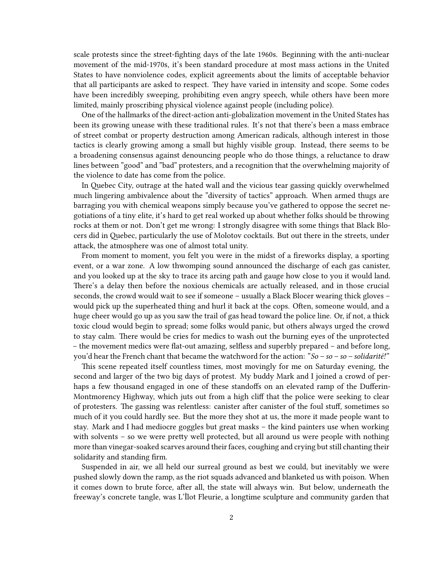scale protests since the street-fighting days of the late 1960s. Beginning with the anti-nuclear movement of the mid-1970s, it's been standard procedure at most mass actions in the United States to have nonviolence codes, explicit agreements about the limits of acceptable behavior that all participants are asked to respect. They have varied in intensity and scope. Some codes have been incredibly sweeping, prohibiting even angry speech, while others have been more limited, mainly proscribing physical violence against people (including police).

One of the hallmarks of the direct-action anti-globalization movement in the United States has been its growing unease with these traditional rules. It's not that there's been a mass embrace of street combat or property destruction among American radicals, although interest in those tactics is clearly growing among a small but highly visible group. Instead, there seems to be a broadening consensus against denouncing people who do those things, a reluctance to draw lines between "good" and "bad" protesters, and a recognition that the overwhelming majority of the violence to date has come from the police.

In Quebec City, outrage at the hated wall and the vicious tear gassing quickly overwhelmed much lingering ambivalence about the "diversity of tactics" approach. When armed thugs are barraging you with chemical weapons simply because you've gathered to oppose the secret negotiations of a tiny elite, it's hard to get real worked up about whether folks should be throwing rocks at them or not. Don't get me wrong: I strongly disagree with some things that Black Blocers did in Quebec, particularly the use of Molotov cocktails. But out there in the streets, under attack, the atmosphere was one of almost total unity.

From moment to moment, you felt you were in the midst of a fireworks display, a sporting event, or a war zone. A low thwomping sound announced the discharge of each gas canister, and you looked up at the sky to trace its arcing path and gauge how close to you it would land. There's a delay then before the noxious chemicals are actually released, and in those crucial seconds, the crowd would wait to see if someone – usually a Black Blocer wearing thick gloves – would pick up the superheated thing and hurl it back at the cops. Often, someone would, and a huge cheer would go up as you saw the trail of gas head toward the police line. Or, if not, a thick toxic cloud would begin to spread; some folks would panic, but others always urged the crowd to stay calm. There would be cries for medics to wash out the burning eyes of the unprotected – the movement medics were flat-out amazing, selfless and superbly prepared – and before long, you'd hear the French chant that became the watchword for the action: "*So – so – so – solidarité!"*

This scene repeated itself countless times, most movingly for me on Saturday evening, the second and larger of the two big days of protest. My buddy Mark and I joined a crowd of perhaps a few thousand engaged in one of these standoffs on an elevated ramp of the Dufferin-Montmorency Highway, which juts out from a high cliff that the police were seeking to clear of protesters. The gassing was relentless: canister after canister of the foul stuff, sometimes so much of it you could hardly see. But the more they shot at us, the more it made people want to stay. Mark and I had mediocre goggles but great masks – the kind painters use when working with solvents – so we were pretty well protected, but all around us were people with nothing more than vinegar-soaked scarves around their faces, coughing and crying but still chanting their solidarity and standing firm.

Suspended in air, we all held our surreal ground as best we could, but inevitably we were pushed slowly down the ramp, as the riot squads advanced and blanketed us with poison. When it comes down to brute force, after all, the state will always win. But below, underneath the freeway's concrete tangle, was L'Îlot Fleurie, a longtime sculpture and community garden that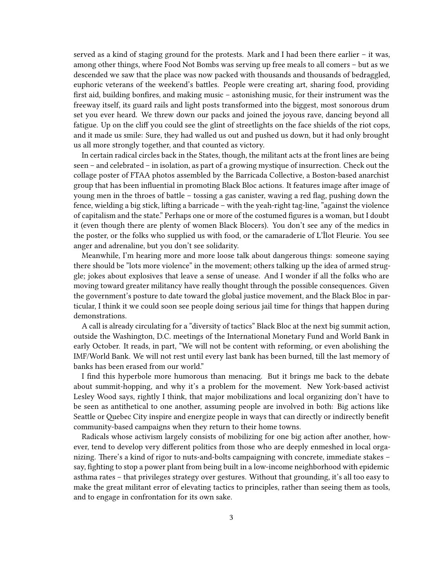served as a kind of staging ground for the protests. Mark and I had been there earlier – it was, among other things, where Food Not Bombs was serving up free meals to all comers – but as we descended we saw that the place was now packed with thousands and thousands of bedraggled, euphoric veterans of the weekend's battles. People were creating art, sharing food, providing first aid, building bonfires, and making music – astonishing music, for their instrument was the freeway itself, its guard rails and light posts transformed into the biggest, most sonorous drum set you ever heard. We threw down our packs and joined the joyous rave, dancing beyond all fatigue. Up on the cliff you could see the glint of streetlights on the face shields of the riot cops, and it made us smile: Sure, they had walled us out and pushed us down, but it had only brought us all more strongly together, and that counted as victory.

In certain radical circles back in the States, though, the militant acts at the front lines are being seen – and celebrated – in isolation, as part of a growing mystique of insurrection. Check out the collage poster of FTAA photos assembled by the Barricada Collective, a Boston-based anarchist group that has been influential in promoting Black Bloc actions. It features image after image of young men in the throes of battle – tossing a gas canister, waving a red flag, pushing down the fence, wielding a big stick, lifting a barricade – with the yeah-right tag-line, "against the violence of capitalism and the state." Perhaps one or more of the costumed figures is a woman, but I doubt it (even though there are plenty of women Black Blocers). You don't see any of the medics in the poster, or the folks who supplied us with food, or the camaraderie of L'Îlot Fleurie. You see anger and adrenaline, but you don't see solidarity.

Meanwhile, I'm hearing more and more loose talk about dangerous things: someone saying there should be "lots more violence" in the movement; others talking up the idea of armed struggle; jokes about explosives that leave a sense of unease. And I wonder if all the folks who are moving toward greater militancy have really thought through the possible consequences. Given the government's posture to date toward the global justice movement, and the Black Bloc in particular, I think it we could soon see people doing serious jail time for things that happen during demonstrations.

A call is already circulating for a "diversity of tactics" Black Bloc at the next big summit action, outside the Washington, D.C. meetings of the International Monetary Fund and World Bank in early October. It reads, in part, "We will not be content with reforming, or even abolishing the IMF/World Bank. We will not rest until every last bank has been burned, till the last memory of banks has been erased from our world."

I find this hyperbole more humorous than menacing. But it brings me back to the debate about summit-hopping, and why it's a problem for the movement. New York-based activist Lesley Wood says, rightly I think, that major mobilizations and local organizing don't have to be seen as antithetical to one another, assuming people are involved in both: Big actions like Seattle or Quebec City inspire and energize people in ways that can directly or indirectly benefit community-based campaigns when they return to their home towns.

Radicals whose activism largely consists of mobilizing for one big action after another, however, tend to develop very different politics from those who are deeply enmeshed in local organizing. There's a kind of rigor to nuts-and-bolts campaigning with concrete, immediate stakes – say, fighting to stop a power plant from being built in a low-income neighborhood with epidemic asthma rates – that privileges strategy over gestures. Without that grounding, it's all too easy to make the great militant error of elevating tactics to principles, rather than seeing them as tools, and to engage in confrontation for its own sake.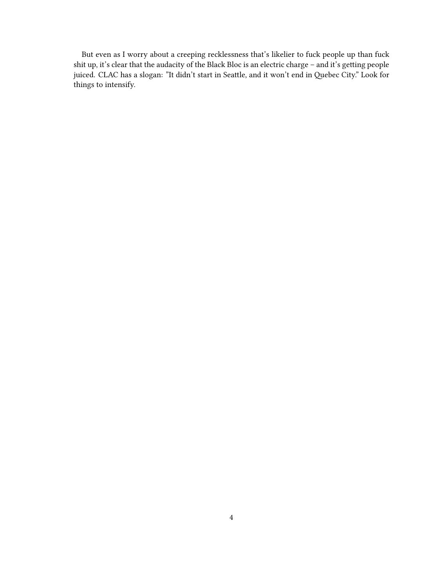But even as I worry about a creeping recklessness that's likelier to fuck people up than fuck shit up, it's clear that the audacity of the Black Bloc is an electric charge – and it's getting people juiced. CLAC has a slogan: "It didn't start in Seattle, and it won't end in Quebec City." Look for things to intensify.